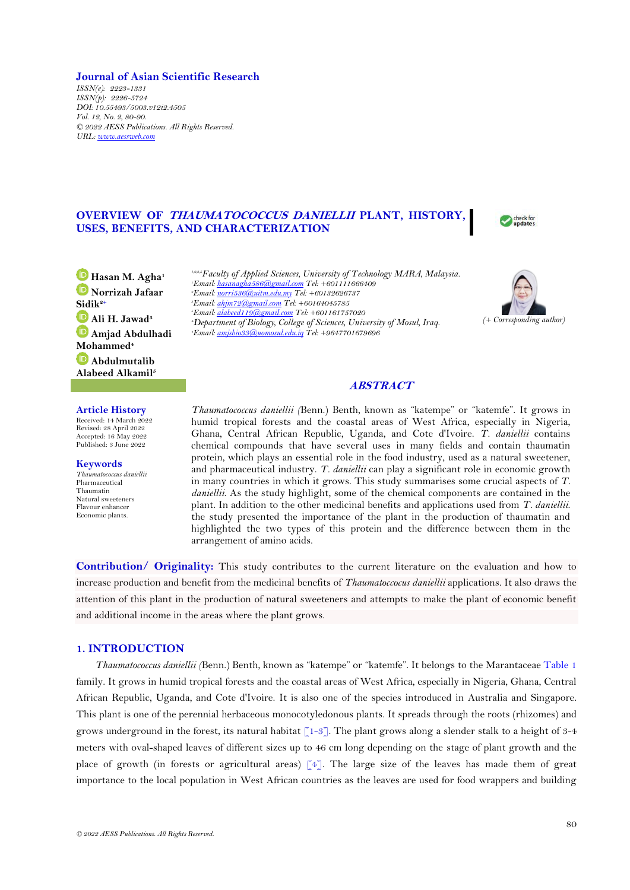## **Journal of Asian Scientific Research**

*ISSN(e): 2223-1331 ISSN(p): 2226-5724 DOI: 10.55493/5003.v12i2.4505 Vol. 12, No. 2, 80-90. © 2022 AESS Publications. All Rights Reserved. URL: [www.aessweb.com](http://www.aessweb.com/)*

# **OVERVIEW OF THAUMATOCOCCUS DANIELLII PLANT, HISTORY, USES, BENEFITS, AND CHARACTERIZATION**

check for update:

**Hasan M. Agha<sup>1</sup> Norrizah Jafaar Sidik2+ Ali H. Jawad<sup>3</sup> Amjad Abdulhadi Mohammed<sup>4</sup> Abdulmutalib Alabeed Alkamil<sup>5</sup>**

*1,2,3,5Faculty of Applied Sciences, University of Technology MARA, Malaysia. Email[: hasanagha586@gmail.com](mailto:hasanagha586@gmail.com) Tel: +601111666409 Email[: norri536@uitm.edu.my](mailto:norri536@uitm.edu.my) Tel: +60132626737 Email[: ahjm72@gmail.com](mailto:ahjm72@gmail.com) Tel: +60164045785 Email[: alabeed119@gmail.com](mailto:alabeed119@gmail.com) Tel: +601161757020 Department of Biology, College of Sciences, University of Mosul, Iraq. Email[: amjsbio33@uomosul.edu.iq](mailto:amjsbio33@uomosul.edu.iq) Tel: +9647701679696*



## **ABSTRACT**

### **Article History**

Received: 14 March 2022 Revised: 28 April 2022 Accepted: 16 May 2022 Published: 3 June 2022

**Keywords** *Thaumatococcus daniellii* Pharmaceutical Thaumatin Natural sweeteners Flavour enhancer Economic plants.

*Thaumatococcus daniellii (*Benn.) Benth, known as "katempe" or "katemfe". It grows in humid tropical forests and the coastal areas of West Africa, especially in Nigeria, Ghana, Central African Republic, Uganda, and Cote d'Ivoire. *T. daniellii* contains chemical compounds that have several uses in many fields and contain thaumatin protein, which plays an essential role in the food industry, used as a natural sweetener, and pharmaceutical industry. *T. daniellii* can play a significant role in economic growth in many countries in which it grows. This study summarises some crucial aspects of *T. daniellii*. As the study highlight, some of the chemical components are contained in the plant. In addition to the other medicinal benefits and applications used from *T. daniellii*. the study presented the importance of the plant in the production of thaumatin and highlighted the two types of this protein and the difference between them in the arrangement of amino acids.

**Contribution/ Originality:** This study contributes to the current literature on the evaluation and how to increase production and benefit from the medicinal benefits of *Thaumatoccocus daniellii* applications. It also draws the attention of this plant in the production of natural sweeteners and attempts to make the plant of economic benefit and additional income in the areas where the plant grows.

## **1. INTRODUCTION**

*Thaumatococcus daniellii (*Benn.) Benth, known as "katempe" or "katemfe". It belongs to the Marantaceae [Table 1](#page-1-0) family. It grows in humid tropical forests and the coastal areas of West Africa, especially in Nigeria, Ghana, Central African Republic, Uganda, and Cote d'Ivoire. It is also one of the species introduced in Australia and Singapore. This plant is one of the perennial herbaceous monocotyledonous plants. It spreads through the roots (rhizomes) and grows underground in the forest, its natural habitat  $[1-3]$ . The plant grows along a slender stalk to a height of 3-4 meters with oval-shaped leaves of different sizes up to 46 cm long depending on the stage of plant growth and the place of growth (in forests or agricultural areas)  $\lceil 4 \rceil$ . The large size of the leaves has made them of great importance to the local population in West African countries as the leaves are used for food wrappers and building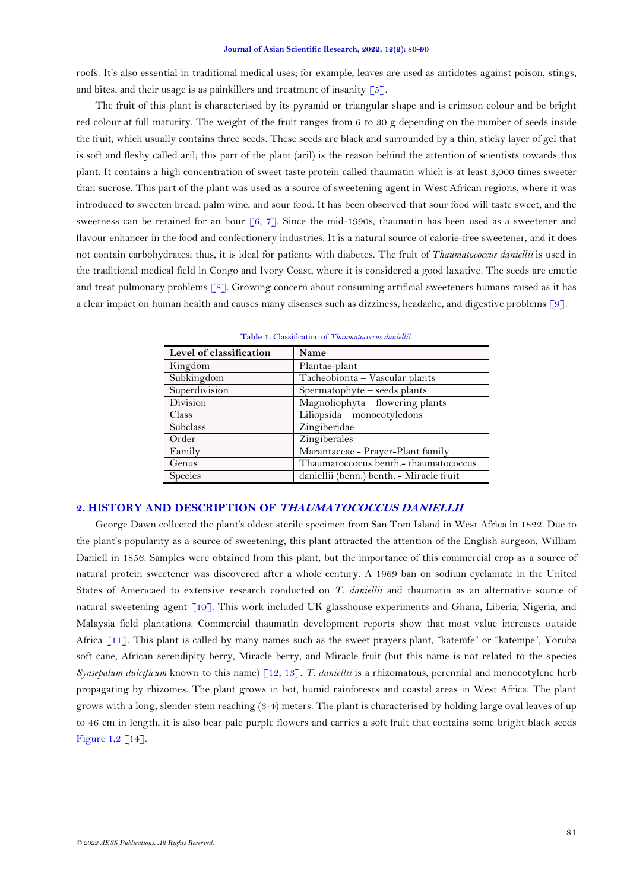roofs. It's also essential in traditional medical uses; for example, leaves are used as antidotes against poison, stings, and bites, and their usage is as painkillers and treatment of insanity  $\lceil 5 \rceil$ .

The fruit of this plant is characterised by its pyramid or triangular shape and is crimson colour and be bright red colour at full maturity. The weight of the fruit ranges from 6 to 30 g depending on the number of seeds inside the fruit, which usually contains three seeds. These seeds are black and surrounded by a thin, sticky layer of gel that is soft and fleshy called aril; this part of the plant (aril) is the reason behind the attention of scientists towards this plant. It contains a high concentration of sweet taste protein called thaumatin which is at least 3,000 times sweeter than sucrose. This part of the plant was used as a source of sweetening agent in West African regions, where it was introduced to sweeten bread, palm wine, and sour food. It has been observed that sour food will taste sweet, and the sweetness can be retained for an hour [\[6,](#page-7-3) [7\]](#page-7-4). Since the mid-1990s, thaumatin has been used as a sweetener and flavour enhancer in the food and confectionery industries. It is a natural source of calorie-free sweetener, and it does not contain carbohydrates; thus, it is ideal for patients with diabetes. The fruit of *Thaumatococcus daniellii* is used in the traditional medical field in Congo and Ivory Coast, where it is considered a good laxative. The seeds are emetic and treat pulmonary problems [\[8\]](#page-7-5). Growing concern about consuming artificial sweeteners humans raised as it has a clear impact on human health and causes many diseases such as dizziness, headache, and digestive problems [\[9\]](#page-7-6).

<span id="page-1-0"></span>

| Level of classification | Name                                     |
|-------------------------|------------------------------------------|
| Kingdom                 | Plantae-plant                            |
| Subkingdom              | Tacheobionta - Vascular plants           |
| Superdivision           | Spermatophyte - seeds plants             |
| Division                | Magnoliophyta - flowering plants         |
| Class                   | Liliopsida - monocotyledons              |
| <b>Subclass</b>         | Zingiberidae                             |
| Order                   | Zingiberales                             |
| Family                  | Marantaceae - Prayer-Plant family        |
| Genus                   | Thaumatoccocus benth.- thaumatococcus    |
| Species                 | daniellii (benn.) benth. - Miracle fruit |

**Table 1.** Classification of *Thaumatococcus daniellii.*

# **2. HISTORY AND DESCRIPTION OF THAUMATOCOCCUS DANIELLII**

George Dawn collected the plant's oldest sterile specimen from San Tom Island in West Africa in 1822. Due to the plant's popularity as a source of sweetening, this plant attracted the attention of the English surgeon, William Daniell in 1856. Samples were obtained from this plant, but the importance of this commercial crop as a source of natural protein sweetener was discovered after a whole century. A 1969 ban on sodium cyclamate in the United States of Americaed to extensive research conducted on *T. daniellii* and thaumatin as an alternative source of natural sweetening agent [\[10\]](#page-7-7). This work included UK glasshouse experiments and Ghana, Liberia, Nigeria, and Malaysia field plantations. Commercial thaumatin development reports show that most value increases outside Africa [\[11\]](#page-7-8). This plant is called by many names such as the sweet prayers plant, "katemfe" or "katempe", Yoruba soft cane, African serendipity berry, Miracle berry, and Miracle fruit (but this name is not related to the species *Synsepalum dulcificum* known to this name) [\[12,](#page-7-9) [13\]](#page-8-0). *T. daniellii* is a rhizomatous, perennial and monocotylene herb propagating by rhizomes. The plant grows in hot, humid rainforests and coastal areas in West Africa. The plant grows with a long, slender stem reaching (3-4) meters. The plant is characterised by holding large oval leaves of up to 46 cm in length, it is also bear pale purple flowers and carries a soft fruit that contains some bright black seeds [Figure 1](#page-2-0)[,2](#page-2-1) [\[14\]](#page-8-1).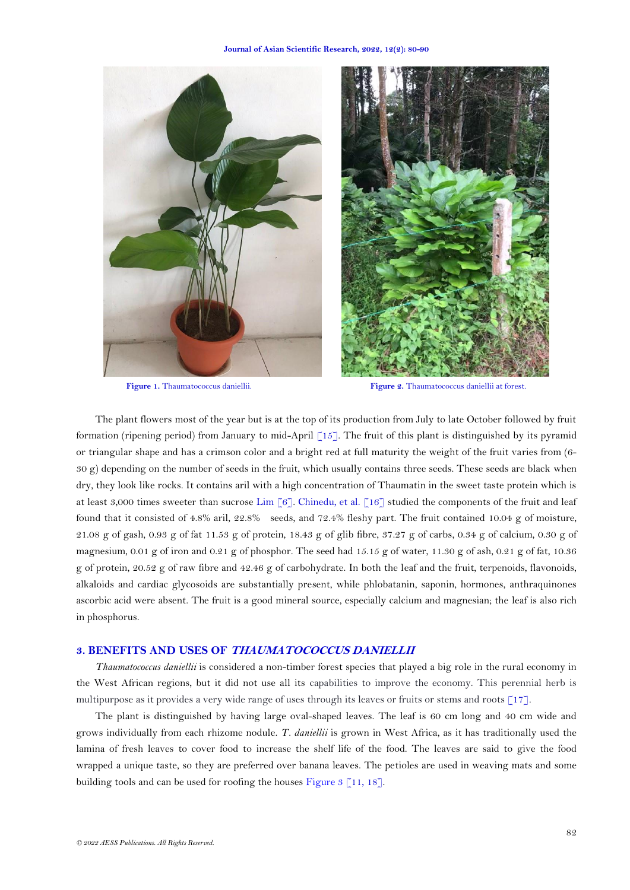



**Figure 1.** Thaumatococcus daniellii. **Figure 2.** Thaumatococcus daniellii at forest.

<span id="page-2-1"></span><span id="page-2-0"></span>The plant flowers most of the year but is at the top of its production from July to late October followed by fruit formation (ripening period) from January to mid-April [\[15\]](#page-8-2). The fruit of this plant is distinguished by its pyramid or triangular shape and has a crimson color and a bright red at full maturity the weight of the fruit varies from (6- 30 g) depending on the number of seeds in the fruit, which usually contains three seeds. These seeds are black when dry, they look like rocks. It contains aril with a high concentration of Thaumatin in the sweet taste protein which is at least 3,000 times sweeter than sucrose [Lim \[6\]](#page-7-3). [Chinedu, et al. \[16\]](#page-8-3) studied the components of the fruit and leaf found that it consisted of 4.8% aril, 22.8% seeds, and 72.4% fleshy part. The fruit contained 10.04 g of moisture, 21.08 g of gash, 0.93 g of fat 11.53 g of protein, 18.43 g of glib fibre, 37.27 g of carbs, 0.34 g of calcium, 0.30 g of magnesium,  $0.01 \text{ g}$  of iron and  $0.21 \text{ g}$  of phosphor. The seed had  $15.15 \text{ g}$  of water,  $11.30 \text{ g}$  of ash,  $0.21 \text{ g}$  of fat,  $10.36$ g of protein, 20.52 g of raw fibre and 42.46 g of carbohydrate. In both the leaf and the fruit, terpenoids, flavonoids, alkaloids and cardiac glycosoids are substantially present, while phlobatanin, saponin, hormones, anthraquinones ascorbic acid were absent. The fruit is a good mineral source, especially calcium and magnesian; the leaf is also rich in phosphorus.

## **3. BENEFITS AND USES OF THAUMATOCOCCUS DANIELLII**

*Thaumatococcus daniellii* is considered a non-timber forest species that played a big role in the rural economy in the West African regions, but it did not use all its capabilities to improve the economy. This perennial herb is multipurpose as it provides a very wide range of uses through its leaves or fruits or stems and roots [\[17\]](#page-8-4)*.* 

The plant is distinguished by having large oval-shaped leaves. The leaf is 60 cm long and 40 cm wide and grows individually from each rhizome nodule. *T. daniellii* is grown in West Africa, as it has traditionally used the lamina of fresh leaves to cover food to increase the shelf life of the food. The leaves are said to give the food wrapped a unique taste, so they are preferred over banana leaves. The petioles are used in weaving mats and some building tools and can be used for roofing the houses [Figure 3](#page-3-0) [\[11,](#page-7-8) [18\]](#page-8-5).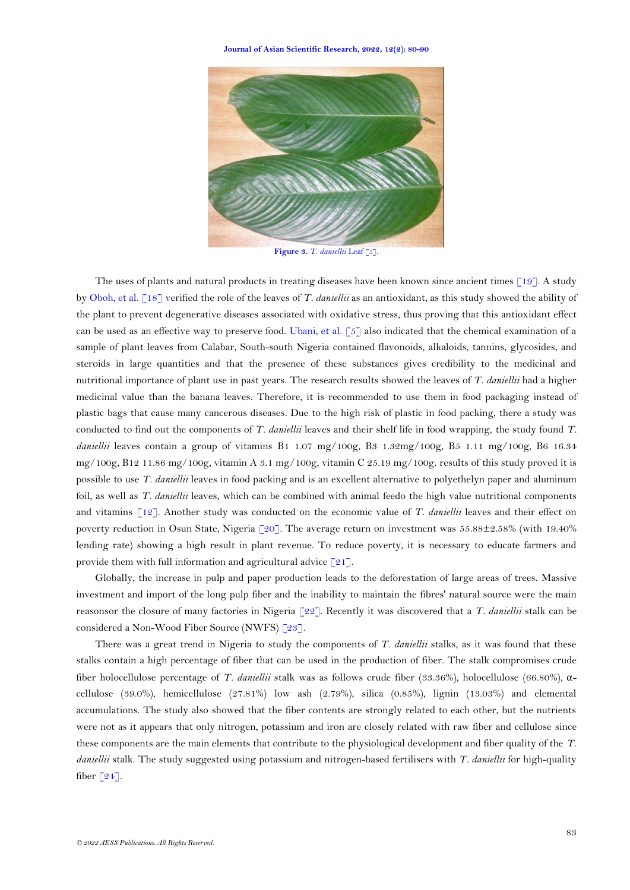

Figure 3. *T. daniellii* Leaf [\[5\]](#page-7-2).

<span id="page-3-0"></span>The uses of plants and natural products in treating diseases have been known since ancient times [\[19\]](#page-8-6). A study b[y Oboh, et al. \[18\]](#page-8-5) verified the role of the leaves of *T. daniellii* as an antioxidant, as this study showed the ability of the plant to prevent degenerative diseases associated with oxidative stress, thus proving that this antioxidant effect can be used as an effective way to preserve food. [Ubani, et al. \[5\]](#page-7-2) also indicated that the chemical examination of a sample of plant leaves from Calabar, South-south Nigeria contained flavonoids, alkaloids, tannins, glycosides, and steroids in large quantities and that the presence of these substances gives credibility to the medicinal and nutritional importance of plant use in past years. The research results showed the leaves of *T. daniellii* had a higher medicinal value than the banana leaves. Therefore, it is recommended to use them in food packaging instead of plastic bags that cause many cancerous diseases. Due to the high risk of plastic in food packing, there a study was conducted to find out the components of *T. daniellii* leaves and their shelf life in food wrapping, the study found *T. daniellii* leaves contain a group of vitamins B1 1.07 mg/100g, B3 1.32mg/100g, B5 1.11 mg/100g, B6 16.34 mg/100g, B12 11.86 mg/100g, vitamin A 3.1 mg/100g, vitamin C 25.19 mg/100g. results of this study proved it is possible to use *T. daniellii* leaves in food packing and is an excellent alternative to polyethelyn paper and aluminum foil, as well as *T. daniellii* leaves, which can be combined with animal feedo the high value nutritional components and vitamins [\[12\]](#page-7-9). Another study was conducted on the economic value of *T. daniellii* leaves and their effect on poverty reduction in Osun State, Nigeria [\[20\]](#page-8-7). The average return on investment was 55.88±2.58% (with 19.40% lending rate) showing a high result in plant revenue. To reduce poverty, it is necessary to educate farmers and provide them with full information and agricultural advice  $\lceil 21 \rceil$ .

Globally, the increase in pulp and paper production leads to the deforestation of large areas of trees. Massive investment and import of the long pulp fiber and the inability to maintain the fibres' natural source were the main reasonsor the closure of many factories in Nigeria [\[22\]](#page-8-9). Recently it was discovered that a *T. daniellii* stalk can be considered a Non-Wood Fiber Source (NWFS) [\[23\]](#page-8-10).

There was a great trend in Nigeria to study the components of *T. daniellii* stalks, as it was found that these stalks contain a high percentage of fiber that can be used in the production of fiber. The stalk compromises crude fiber holocellulose percentage of *T. daniellii* stalk was as follows crude fiber (33.36%), holocellulose (66.80%), αcellulose (39.0%), hemicellulose (27.81%) low ash (2.79%), silica (0.85%), lignin (13.03%) and elemental accumulations. The study also showed that the fiber contents are strongly related to each other, but the nutrients were not as it appears that only nitrogen, potassium and iron are closely related with raw fiber and cellulose since these components are the main elements that contribute to the physiological development and fiber quality of the *T. daniellii* stalk. The study suggested using potassium and nitrogen-based fertilisers with *T. daniellii* for high-quality fiber  $\lceil 24 \rceil$ .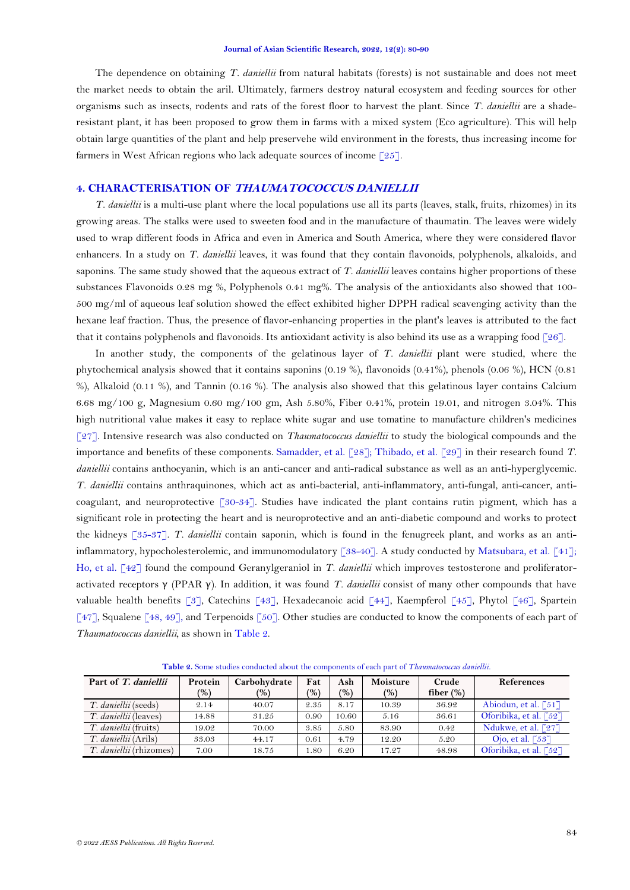The dependence on obtaining *T. daniellii* from natural habitats (forests) is not sustainable and does not meet the market needs to obtain the aril. Ultimately, farmers destroy natural ecosystem and feeding sources for other organisms such as insects, rodents and rats of the forest floor to harvest the plant. Since *T. daniellii* are a shaderesistant plant, it has been proposed to grow them in farms with a mixed system (Eco agriculture). This will help obtain large quantities of the plant and help preservehe wild environment in the forests, thus increasing income for farmers in West African regions who lack adequate sources of income  $\lceil 25 \rceil$ .

## **4. CHARACTERISATION OF THAUMATOCOCCUS DANIELLII**

*T. daniellii* is a multi-use plant where the local populations use all its parts (leaves, stalk, fruits, rhizomes) in its growing areas. The stalks were used to sweeten food and in the manufacture of thaumatin. The leaves were widely used to wrap different foods in Africa and even in America and South America, where they were considered flavor enhancers. In a study on *T. daniellii* leaves, it was found that they contain flavonoids, polyphenols, alkaloids, and saponins. The same study showed that the aqueous extract of *T. daniellii* leaves contains higher proportions of these substances Flavonoids 0.28 mg %, Polyphenols 0.41 mg%. The analysis of the antioxidants also showed that 100- 500 mg/ml of aqueous leaf solution showed the effect exhibited higher DPPH radical scavenging activity than the hexane leaf fraction. Thus, the presence of flavor-enhancing properties in the plant's leaves is attributed to the fact that it contains polyphenols and flavonoids. Its antioxidant activity is also behind its use as a wrapping food [\[26\]](#page-8-13).

In another study, the components of the gelatinous layer of *T. daniellii* plant were studied, where the phytochemical analysis showed that it contains saponins (0.19 %), flavonoids (0.41%), phenols (0.06 %), HCN (0.81 %), Alkaloid (0.11 %), and Tannin (0.16 %). The analysis also showed that this gelatinous layer contains Calcium 6.68 mg/100 g, Magnesium 0.60 mg/100 gm, Ash 5.80%, Fiber 0.41%, protein 19.01, and nitrogen 3.04%. This high nutritional value makes it easy to replace white sugar and use tomatine to manufacture children's medicines [\[27\]](#page-8-14). Intensive research was also conducted on *Thaumatococcus daniellii* to study the biological compounds and the importance and benefits of these components. [Samadder, et al. \[28\]](#page-8-15); [Thibado, et al. \[29\]](#page-9-0) in their research found *T. daniellii* contains anthocyanin, which is an anti-cancer and anti-radical substance as well as an anti-hyperglycemic. *T. daniellii* contains anthraquinones, which act as anti-bacterial, anti-inflammatory, anti-fungal, anti-cancer, anticoagulant, and neuroprotective [\[30-34\]](#page-9-1). Studies have indicated the plant contains rutin pigment, which has a significant role in protecting the heart and is neuroprotective and an anti-diabetic compound and works to protect the kidneys [\[35-37\]](#page-9-2). *T. daniellii* contain saponin, which is found in the fenugreek plant, and works as an anti-inflammatory, hypocholesterolemic, and immunomodulatory [\[38-40\]](#page-9-3). A study conducted by [Matsubara, et al. \[41\]](#page-9-4); [Ho, et al. \[42\]](#page-9-5) found the compound Geranylgeraniol in *T. daniellii* which improves testosterone and proliferatoractivated receptors γ (PPAR γ). In addition, it was found *T. daniellii* consist of many other compounds that have valuable health benefits [\[3\]](#page-7-10), Catechins [\[43\]](#page-9-6), Hexadecanoic acid [\[44\]](#page-10-0), Kaempferol [\[45\]](#page-10-1), Phytol [\[46\]](#page-10-2), Spartein [\[47\]](#page-10-3), Squalene [\[48,](#page-10-4) [49\]](#page-10-5), and Terpenoids [\[50\]](#page-10-6). Other studies are conducted to know the components of each part of *Thaumatococcus daniellii,* as shown in [Table](#page-4-0) 2.

<span id="page-4-0"></span>

| Part of T. daniellii           | Protein | Carbohydrate | Fat   | Ash   | Moisture | Crude        | <b>References</b>      |
|--------------------------------|---------|--------------|-------|-------|----------|--------------|------------------------|
|                                | (%)     | (%)          | (9/6) | (%)   | (9)      | fiber $(\%)$ |                        |
| T. daniellii (seeds)           | 2.14    | 40.07        | 2.35  | 8.17  | 10.39    | 36.92        | Abiodun, et al. [51]   |
| <i>T. daniellii</i> (leaves)   | 14.88   | 31.25        | 0.90  | 10.60 | 5.16     | 36.61        | Oforibika, et al. [52] |
| <i>T. daniellii</i> (fruits)   | 19.02   | 70.00        | 3.85  | 5.80  | 83.90    | 0.42         | Ndukwe, et al. $[27]$  |
| <i>T. daniellii</i> (Arils)    | 33.03   | 44.17        | 0.61  | 4.79  | 12.20    | 5.20         | Ojo, et al. [53]       |
| <i>T. daniellii</i> (rhizomes) | 7.00    | 18.75        | .80   | 6.20  | 17.27    | 48.98        | Oforibika, et al. [52] |

**Table 2.** Some studies conducted about the components of each part of *Thaumatococcus daniellii.*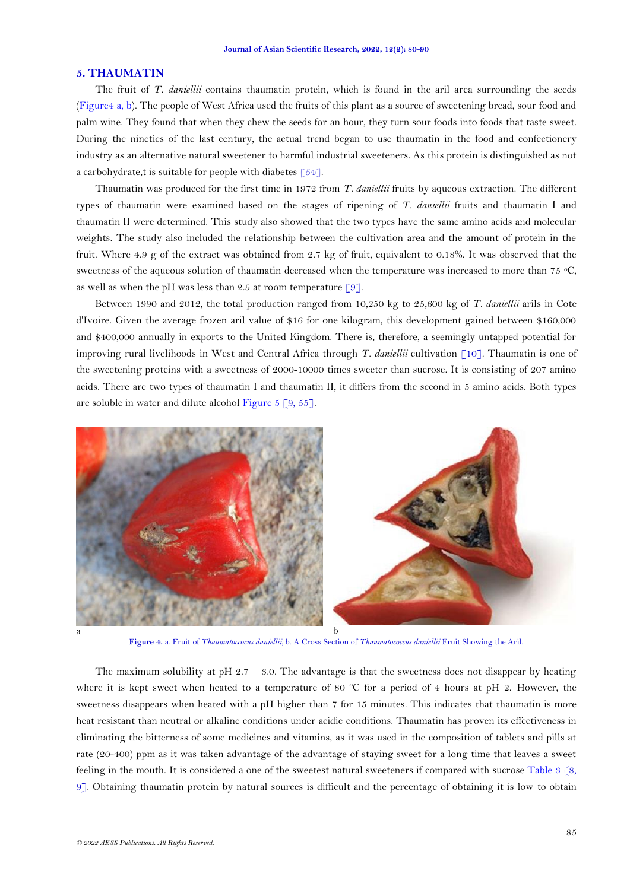### **5. THAUMATIN**

The fruit of *T. daniellii* contains thaumatin protein, which is found in the aril area surrounding the seeds [\(Figure4](#page-5-0) a, b). The people of West Africa used the fruits of this plant as a source of sweetening bread, sour food and palm wine. They found that when they chew the seeds for an hour, they turn sour foods into foods that taste sweet. During the nineties of the last century, the actual trend began to use thaumatin in the food and confectionery industry as an alternative natural sweetener to harmful industrial sweeteners. As this protein is distinguished as not a carbohydrate,t is suitable for people with diabetes [\[54\]](#page-10-10).

Thaumatin was produced for the first time in 1972 from *T. daniellii* fruits by aqueous extraction. The different types of thaumatin were examined based on the stages of ripening of *T. daniellii* fruits and thaumatin І and thaumatin П were determined. This study also showed that the two types have the same amino acids and molecular weights. The study also included the relationship between the cultivation area and the amount of protein in the fruit. Where 4.9 g of the extract was obtained from 2.7 kg of fruit, equivalent to 0.18%. It was observed that the sweetness of the aqueous solution of thaumatin decreased when the temperature was increased to more than 75 °C, as well as when the pH was less than 2.5 at room temperature [\[9\]](#page-7-6).

Between 1990 and 2012, the total production ranged from 10,250 kg to 25,600 kg of *T. daniellii* arils in Cote d'Ivoire. Given the average frozen aril value of \$16 for one kilogram, this development gained between \$160,000 and \$400,000 annually in exports to the United Kingdom. There is, therefore, a seemingly untapped potential for improving rural livelihoods in West and Central Africa through *T. daniellii* cultivation [\[10\]](#page-7-7). Thaumatin is one of the sweetening proteins with a sweetness of 2000-10000 times sweeter than sucrose. It is consisting of 207 amino acids. There are two types of thaumatin Ι and thaumatin Π, it differs from the second in 5 amino acids. Both types are soluble in water and dilute alcohol [Figure 5](#page-6-0) [\[9,](#page-7-6) [55\]](#page-10-11).



**Figure 4.** a. Fruit of *Thaumatoccocus daniellii,* b*.* A Cross Section of *Thaumatococcus daniellii* Fruit Showing the Aril.

<span id="page-5-0"></span>The maximum solubility at pH  $2.7 - 3.0$ . The advantage is that the sweetness does not disappear by heating where it is kept sweet when heated to a temperature of 80 °C for a period of 4 hours at pH 2. However, the sweetness disappears when heated with a pH higher than 7 for 15 minutes. This indicates that thaumatin is more heat resistant than neutral or alkaline conditions under acidic conditions. Thaumatin has proven its effectiveness in eliminating the bitterness of some medicines and vitamins, as it was used in the composition of tablets and pills at rate (20-400) ppm as it was taken advantage of the advantage of staying sweet for a long time that leaves a sweet feeling in the mouth. It is considered a one of the sweetest natural sweeteners if compared with sucrose [Table](#page-6-1) 3 [\[8,](#page-7-5) [9\]](#page-7-6). Obtaining thaumatin protein by natural sources is difficult and the percentage of obtaining it is low to obtain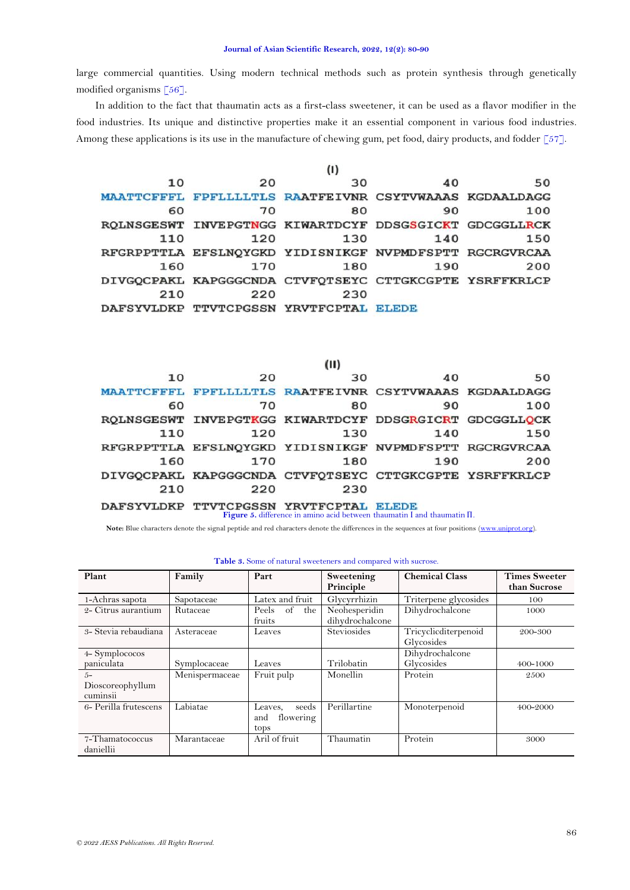large commercial quantities. Using modern technical methods such as protein synthesis through genetically modified organisms [\[56\]](#page-10-12).

In addition to the fact that thaumatin acts as a first-class sweetener, it can be used as a flavor modifier in the food industries. Its unique and distinctive properties make it an essential component in various food industries. Among these applications is its use in the manufacture of chewing gum, pet food, dairy products, and fodder [\[57\]](#page-10-13).

|                   |     | (1)                                                    |     |     |
|-------------------|-----|--------------------------------------------------------|-----|-----|
| 10                | 20  | 30                                                     | 40  | 50  |
| <b>MAATTCFFFL</b> |     | FPFLLLLTLS RAATFEIVNR CSYTVWAAAS KGDAALDAGG            |     |     |
| 60                | 70  | 80                                                     | 90  | 100 |
|                   |     | ROLNSGESWT INVEPGTNGG KIWARTDCYF DDSGSGICKT GDCGGLLRCK |     |     |
| 110               | 120 | 130                                                    | 140 | 150 |
|                   |     | RFGRPPTTLA EFSLNQYGKD YIDISNIKGF NVPMDFSPTT RGCRGVRCAA |     |     |
| 160               | 170 | 180                                                    | 190 | 200 |
|                   |     | DIVGOCPAKL KAPGGGCNDA CTVFOTSEYC CTTGKCGPTE YSRFFKRLCP |     |     |
| 210               | 220 | 230                                                    |     |     |
| DAFSYVLDKP        |     | TTVTCPGSSN YRVTFCPTAL ELEDE                            |     |     |

| w   |                                                        |     |
|-----|--------------------------------------------------------|-----|
| 30  | 40<br>20                                               | 50  |
|     | MAATTCFFFL FPFLLLLTLS RAATFEIVNR CSYTVWAAAS KGDAALDAGG |     |
| 80  | 70<br>90                                               | 100 |
|     | ROLNSGESWT INVEPGTKGG KIWARTDCYF DDSGRGICRT GDCGGLLOCK |     |
| 130 | 120<br>140                                             | 150 |
|     | RFGRPPTTLA EFSLNQYGKD YIDISNIKGF NVPMDFSPTT RGCRGVRCAA |     |
| 180 | 170<br>190                                             | 200 |
|     | DIVGOCPAKL KAPGGGCNDA CTVFQTSEYC CTTGKCGPTE YSRFFKRLCP |     |
| 230 | 220                                                    |     |
|     | TTVTCPGSSN YRVTFCPTAL ELEDE                            |     |

 $\cdots$ 

**Figure 5.** difference in amino acid between thaumatin І and thaumatin П.

<span id="page-6-0"></span>**Note:** Blue characters denote the signal peptide and red characters denote the differences in the sequences at four positions [\(www.uniprot.org\).](http://www.uniprot.org/)

<span id="page-6-1"></span>

| Plant                                 | Family         | Part                                         | Sweetening<br>Principle          | <b>Chemical Class</b>              | <b>Times Sweeter</b><br>than Sucrose |
|---------------------------------------|----------------|----------------------------------------------|----------------------------------|------------------------------------|--------------------------------------|
| 1-Achras sapota                       | Sapotaceae     | Latex and fruit                              | Glycyrrhizin                     | Triterpene glycosides              | 100                                  |
| 2- Citrus aurantium                   | Rutaceae       | of the<br>Peels<br>fruits                    | Neohesperidin<br>dihydrochalcone | Dihydrochalcone                    | 1000                                 |
| 3- Stevia rebaudiana                  | Asteraceae     | Leaves                                       | <b>Steviosides</b>               | Tricyclicditerpenoid<br>Glycosides | 200-300                              |
| 4-Symplococos                         |                |                                              |                                  | Dihydrochalcone                    |                                      |
| paniculata                            | Symplocaceae   | Leaves                                       | Trilobatin                       | Glycosides                         | 400-1000                             |
| $.5-$<br>Dioscoreophyllum<br>cuminsii | Menispermaceae | Fruit pulp                                   | Monellin                         | Protein                            | 2500                                 |
| 6- Perilla frutescens                 | Labiatae       | seeds<br>Leaves,<br>flowering<br>and<br>tops | Perillartine                     | Monoterpenoid                      | 400-2000                             |
| 7-Thamatococcus<br>daniellii          | Marantaceae    | Aril of fruit                                | Thaumatin                        | Protein                            | 3000                                 |

| Table 3. Some of natural sweeteners and compared with sucrose. |  |
|----------------------------------------------------------------|--|
|----------------------------------------------------------------|--|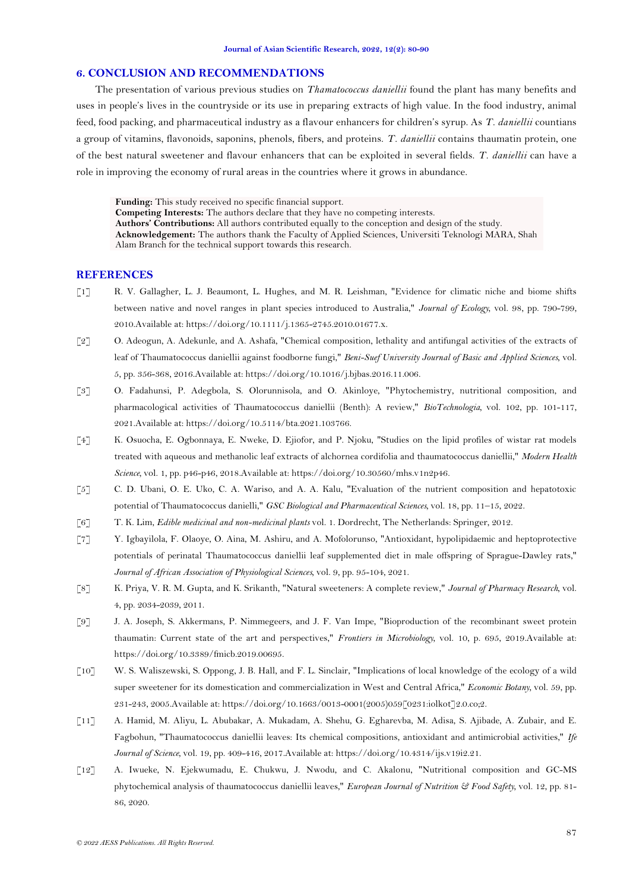## **6. CONCLUSION AND RECOMMENDATIONS**

The presentation of various previous studies on *Thamatococcus daniellii* found the plant has many benefits and uses in people's lives in the countryside or its use in preparing extracts of high value. In the food industry, animal feed, food packing, and pharmaceutical industry as a flavour enhancers for children's syrup. As *T. daniellii* countians a group of vitamins, flavonoids, saponins, phenols, fibers, and proteins. *T. daniellii* contains thaumatin protein, one of the best natural sweetener and flavour enhancers that can be exploited in several fields. *T. daniellii* can have a role in improving the economy of rural areas in the countries where it grows in abundance.

**Funding:** This study received no specific financial support. **Competing Interests:** The authors declare that they have no competing interests. **Authors' Contributions:** All authors contributed equally to the conception and design of the study. **Acknowledgement:** The authors thank the Faculty of Applied Sciences, Universiti Teknologi MARA, Shah Alam Branch for the technical support towards this research.

## **REFERENCES**

- <span id="page-7-0"></span>[1] R. V. Gallagher, L. J. Beaumont, L. Hughes, and M. R. Leishman, "Evidence for climatic niche and biome shifts between native and novel ranges in plant species introduced to Australia," *Journal of Ecology,* vol. 98, pp. 790-799, 2010.Available at: https://doi.org/10.1111/j.1365-2745.2010.01677.x.
- [2] O. Adeogun, A. Adekunle, and A. Ashafa, "Chemical composition, lethality and antifungal activities of the extracts of leaf of Thaumatococcus daniellii against foodborne fungi," *Beni-Suef University Journal of Basic and Applied Sciences,* vol. 5, pp. 356-368, 2016.Available at: https://doi.org/10.1016/j.bjbas.2016.11.006.
- <span id="page-7-10"></span>[3] O. Fadahunsi, P. Adegbola, S. Olorunnisola, and O. Akinloye, "Phytochemistry, nutritional composition, and pharmacological activities of Thaumatococcus daniellii (Benth): A review," *BioTechnologia,* vol. 102, pp. 101-117, 2021.Available at: https://doi.org/10.5114/bta.2021.103766.
- <span id="page-7-1"></span>[4] K. Osuocha, E. Ogbonnaya, E. Nweke, D. Ejiofor, and P. Njoku, "Studies on the lipid profiles of wistar rat models treated with aqueous and methanolic leaf extracts of alchornea cordifolia and thaumatococcus daniellii," *Modern Health Science,* vol. 1, pp. p46-p46, 2018.Available at: https://doi.org/10.30560/mhs.v1n2p46.
- <span id="page-7-2"></span>[5] C. D. Ubani, O. E. Uko, C. A. Wariso, and A. A. Kalu, "Evaluation of the nutrient composition and hepatotoxic potential of Thaumatococcus danielli," *GSC Biological and Pharmaceutical Sciences,* vol. 18, pp. 11–15, 2022.
- <span id="page-7-3"></span>[6] T. K. Lim, *Edible medicinal and non-medicinal plants* vol. 1. Dordrecht, The Netherlands: Springer, 2012.
- <span id="page-7-4"></span>[7] Y. Igbayilola, F. Olaoye, O. Aina, M. Ashiru, and A. Mofolorunso, "Antioxidant, hypolipidaemic and heptoprotective potentials of perinatal Thaumatococcus daniellii leaf supplemented diet in male offspring of Sprague-Dawley rats," *Journal of African Association of Physiological Sciences,* vol. 9, pp. 95-104, 2021.
- <span id="page-7-5"></span>[8] K. Priya, V. R. M. Gupta, and K. Srikanth, "Natural sweeteners: A complete review," *Journal of Pharmacy Research,* vol. 4, pp. 2034-2039, 2011.
- <span id="page-7-6"></span>[9] J. A. Joseph, S. Akkermans, P. Nimmegeers, and J. F. Van Impe, "Bioproduction of the recombinant sweet protein thaumatin: Current state of the art and perspectives," *Frontiers in Microbiology,* vol. 10, p. 695, 2019.Available at: https://doi.org/10.3389/fmicb.2019.00695.
- <span id="page-7-7"></span>[10] W. S. Waliszewski, S. Oppong, J. B. Hall, and F. L. Sinclair, "Implications of local knowledge of the ecology of a wild super sweetener for its domestication and commercialization in West and Central Africa," *Economic Botany,* vol. 59, pp. 231-243, 2005.Available at: https://doi.org/10.1663/0013-0001(2005)059[0231:iolkot]2.0.co;2.
- <span id="page-7-8"></span>[11] A. Hamid, M. Aliyu, L. Abubakar, A. Mukadam, A. Shehu, G. Egharevba, M. Adisa, S. Ajibade, A. Zubair, and E. Fagbohun, "Thaumatococcus daniellii leaves: Its chemical compositions, antioxidant and antimicrobial activities," *Ife Journal of Science,* vol. 19, pp. 409-416, 2017.Available at: https://doi.org/10.4314/ijs.v19i2.21.
- <span id="page-7-9"></span>[12] A. Iwueke, N. Ejekwumadu, E. Chukwu, J. Nwodu, and C. Akalonu, "Nutritional composition and GC-MS phytochemical analysis of thaumatococcus daniellii leaves," *European Journal of Nutrition & Food Safety,* vol. 12, pp. 81- 86, 2020.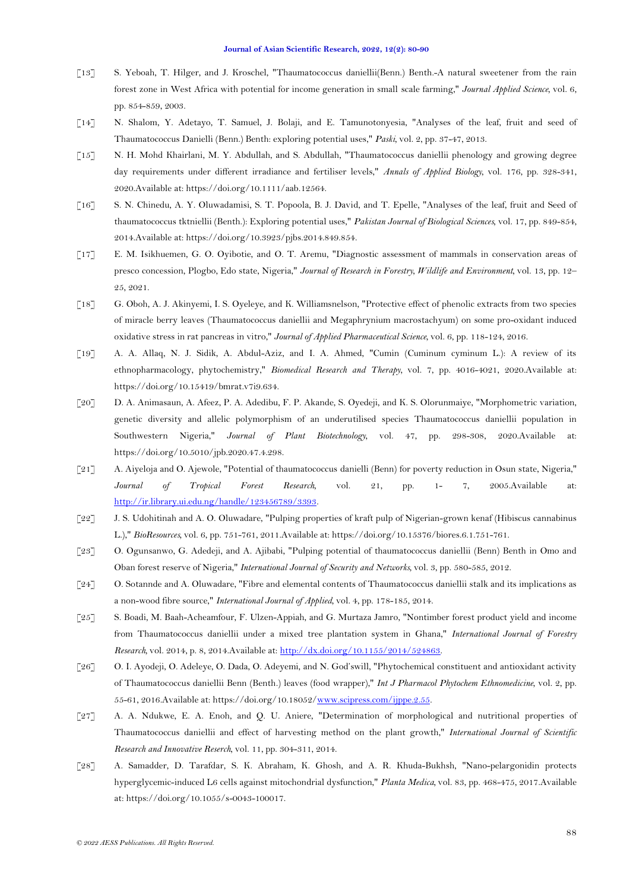- <span id="page-8-0"></span>[13] S. Yeboah, T. Hilger, and J. Kroschel, "Thaumatococcus daniellii(Benn.) Benth.-A natural sweetener from the rain forest zone in West Africa with potential for income generation in small scale farming," *Journal Applied Science,* vol. 6, pp. 854-859, 2003.
- <span id="page-8-1"></span>[14] N. Shalom, Y. Adetayo, T. Samuel, J. Bolaji, and E. Tamunotonyesia, "Analyses of the leaf, fruit and seed of Thaumatococcus Danielli (Benn.) Benth: exploring potential uses," *Paski,* vol. 2, pp. 37-47, 2013.
- <span id="page-8-2"></span>[15] N. H. Mohd Khairlani, M. Y. Abdullah, and S. Abdullah, "Thaumatococcus daniellii phenology and growing degree day requirements under different irradiance and fertiliser levels," *Annals of Applied Biology,* vol. 176, pp. 328-341, 2020.Available at: https://doi.org/10.1111/aab.12564.
- <span id="page-8-3"></span>[16] S. N. Chinedu, A. Y. Oluwadamisi, S. T. Popoola, B. J. David, and T. Epelle, "Analyses of the leaf, fruit and Seed of thaumatococcus tktniellii (Benth.): Exploring potential uses," *Pakistan Journal of Biological Sciences,* vol. 17, pp. 849-854, 2014.Available at: https://doi.org/10.3923/pjbs.2014.849.854.
- <span id="page-8-4"></span>[17] E. M. Isikhuemen, G. O. Oyibotie, and O. T. Aremu, "Diagnostic assessment of mammals in conservation areas of presco concession, Plogbo, Edo state, Nigeria," *Journal of Research in Forestry, Wildlife and Environment,* vol. 13, pp. 12– 25, 2021.
- <span id="page-8-5"></span>[18] G. Oboh, A. J. Akinyemi, I. S. Oyeleye, and K. Williamsnelson, "Protective effect of phenolic extracts from two species of miracle berry leaves (Thaumatococcus daniellii and Megaphrynium macrostachyum) on some pro-oxidant induced oxidative stress in rat pancreas in vitro," *Journal of Applied Pharmaceutical Science,* vol. 6, pp. 118-124, 2016.
- <span id="page-8-6"></span>[19] A. A. Allaq, N. J. Sidik, A. Abdul-Aziz, and I. A. Ahmed, "Cumin (Cuminum cyminum L.): A review of its ethnopharmacology, phytochemistry," *Biomedical Research and Therapy,* vol. 7, pp. 4016-4021, 2020.Available at: https://doi.org/10.15419/bmrat.v7i9.634.
- <span id="page-8-7"></span>[20] D. A. Animasaun, A. Afeez, P. A. Adedibu, F. P. Akande, S. Oyedeji, and K. S. Olorunmaiye, "Morphometric variation, genetic diversity and allelic polymorphism of an underutilised species Thaumatococcus daniellii population in Southwestern Nigeria," *Journal of Plant Biotechnology,* vol. 47, pp. 298-308, 2020.Available at: https://doi.org/10.5010/jpb.2020.47.4.298.
- <span id="page-8-8"></span>[21] A. Aiyeloja and O. Ajewole, "Potential of thaumatococcus danielli (Benn) for poverty reduction in Osun state, Nigeria," *Journal of Tropical Forest Research,* vol. 21, pp. 1- 7, 2005.Available at: [http://ir.library.ui.edu.ng/handle/123456789/3393.](http://ir.library.ui.edu.ng/handle/123456789/3393)
- <span id="page-8-9"></span>[22] J. S. Udohitinah and A. O. Oluwadare, "Pulping properties of kraft pulp of Nigerian-grown kenaf (Hibiscus cannabinus L.)," *BioResources,* vol. 6, pp. 751-761, 2011.Available at: https://doi.org/10.15376/biores.6.1.751-761.
- <span id="page-8-10"></span>[23] O. Ogunsanwo, G. Adedeji, and A. Ajibabi, "Pulping potential of thaumatococcus daniellii (Benn) Benth in Omo and Oban forest reserve of Nigeria," *International Journal of Security and Networks,* vol. 3, pp. 580-585, 2012.
- <span id="page-8-11"></span>[24] O. Sotannde and A. Oluwadare, "Fibre and elemental contents of Thaumatococcus daniellii stalk and its implications as a non-wood fibre source," *International Journal of Applied,* vol. 4, pp. 178-185, 2014.
- <span id="page-8-12"></span>[25] S. Boadi, M. Baah-Acheamfour, F. Ulzen-Appiah, and G. Murtaza Jamro, "Nontimber forest product yield and income from Thaumatococcus daniellii under a mixed tree plantation system in Ghana," *International Journal of Forestry Research,* vol. 2014, p. 8, 2014.Available at[: http://dx.doi.org/10.1155/2014/524863.](http://dx.doi.org/10.1155/2014/524863)
- <span id="page-8-13"></span>[26] O. I. Ayodeji, O. Adeleye, O. Dada, O. Adeyemi, and N. God'swill, "Phytochemical constituent and antioxidant activity of Thaumatococcus daniellii Benn (Benth.) leaves (food wrapper)," *Int J Pharmacol Phytochem Ethnomedicine,* vol. 2, pp. 55-61, 2016.Available at: https://doi.org/10.18052[/www.scipress.com/ijppe.2.55.](http://www.scipress.com/ijppe.2.55)
- <span id="page-8-14"></span>[27] A. A. Ndukwe, E. A. Enoh, and Q. U. Aniere, "Determination of morphological and nutritional properties of Thaumatococcus daniellii and effect of harvesting method on the plant growth," *International Journal of Scientific Research and Innovative Reserch,* vol. 11, pp. 304-311, 2014.
- <span id="page-8-15"></span>[28] A. Samadder, D. Tarafdar, S. K. Abraham, K. Ghosh, and A. R. Khuda-Bukhsh, "Nano-pelargonidin protects hyperglycemic-induced L6 cells against mitochondrial dysfunction," *Planta Medica,* vol. 83, pp. 468-475, 2017.Available at: https://doi.org/10.1055/s-0043-100017.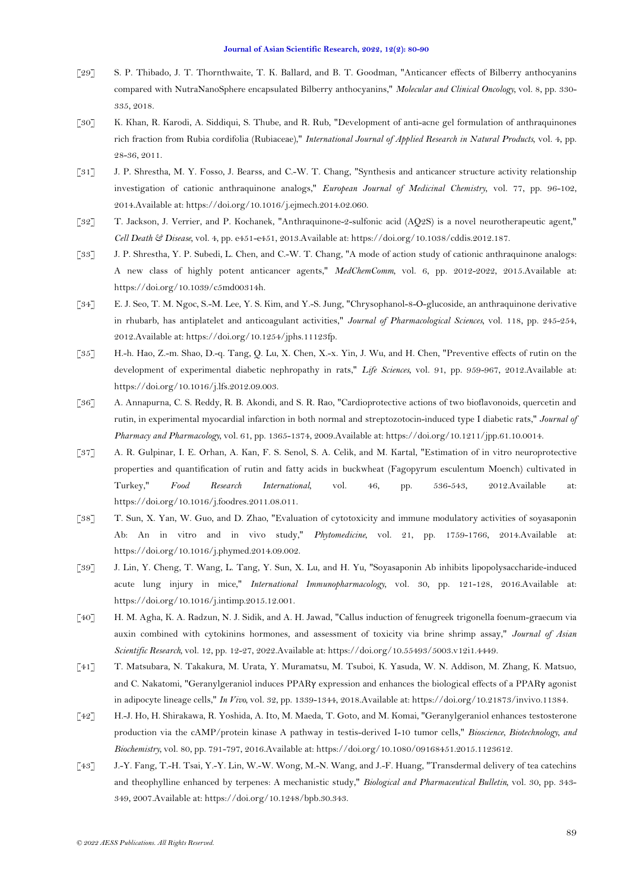- <span id="page-9-0"></span>[29] S. P. Thibado, J. T. Thornthwaite, T. K. Ballard, and B. T. Goodman, "Anticancer effects of Bilberry anthocyanins compared with NutraNanoSphere encapsulated Bilberry anthocyanins," *Molecular and Clinical Oncology,* vol. 8, pp. 330- 335, 2018.
- <span id="page-9-1"></span>[30] K. Khan, R. Karodi, A. Siddiqui, S. Thube, and R. Rub, "Development of anti-acne gel formulation of anthraquinones rich fraction from Rubia cordifolia (Rubiaceae)," *International Journal of Applied Research in Natural Products,* vol. 4, pp. 28-36, 2011.
- [31] J. P. Shrestha, M. Y. Fosso, J. Bearss, and C.-W. T. Chang, "Synthesis and anticancer structure activity relationship investigation of cationic anthraquinone analogs," *European Journal of Medicinal Chemistry,* vol. 77, pp. 96-102, 2014.Available at: https://doi.org/10.1016/j.ejmech.2014.02.060.
- [32] T. Jackson, J. Verrier, and P. Kochanek, "Anthraquinone-2-sulfonic acid (AQ2S) is a novel neurotherapeutic agent," *Cell Death & Disease,* vol. 4, pp. e451-e451, 2013.Available at: https://doi.org/10.1038/cddis.2012.187.
- [33] J. P. Shrestha, Y. P. Subedi, L. Chen, and C.-W. T. Chang, "A mode of action study of cationic anthraquinone analogs: A new class of highly potent anticancer agents," *MedChemComm,* vol. 6, pp. 2012-2022, 2015.Available at: https://doi.org/10.1039/c5md00314h.
- [34] E. J. Seo, T. M. Ngoc, S.-M. Lee, Y. S. Kim, and Y.-S. Jung, "Chrysophanol-8-O-glucoside, an anthraquinone derivative in rhubarb, has antiplatelet and anticoagulant activities," *Journal of Pharmacological Sciences,* vol. 118, pp. 245-254, 2012.Available at: https://doi.org/10.1254/jphs.11123fp.
- <span id="page-9-2"></span>[35] H.-h. Hao, Z.-m. Shao, D.-q. Tang, Q. Lu, X. Chen, X.-x. Yin, J. Wu, and H. Chen, "Preventive effects of rutin on the development of experimental diabetic nephropathy in rats," *Life Sciences,* vol. 91, pp. 959-967, 2012.Available at: https://doi.org/10.1016/j.lfs.2012.09.003.
- [36] A. Annapurna, C. S. Reddy, R. B. Akondi, and S. R. Rao, "Cardioprotective actions of two bioflavonoids, quercetin and rutin, in experimental myocardial infarction in both normal and streptozotocin-induced type I diabetic rats," *Journal of Pharmacy and Pharmacology,* vol. 61, pp. 1365-1374, 2009.Available at: https://doi.org/10.1211/jpp.61.10.0014.
- [37] A. R. Gulpinar, I. E. Orhan, A. Kan, F. S. Senol, S. A. Celik, and M. Kartal, "Estimation of in vitro neuroprotective properties and quantification of rutin and fatty acids in buckwheat (Fagopyrum esculentum Moench) cultivated in Turkey," *Food Research International,* vol. 46, pp. 536-543, 2012.Available at: https://doi.org/10.1016/j.foodres.2011.08.011.
- <span id="page-9-3"></span>[38] T. Sun, X. Yan, W. Guo, and D. Zhao, "Evaluation of cytotoxicity and immune modulatory activities of soyasaponin Ab: An in vitro and in vivo study," *Phytomedicine,* vol. 21, pp. 1759-1766, 2014.Available at: https://doi.org/10.1016/j.phymed.2014.09.002.
- [39] J. Lin, Y. Cheng, T. Wang, L. Tang, Y. Sun, X. Lu, and H. Yu, "Soyasaponin Ab inhibits lipopolysaccharide-induced acute lung injury in mice," *International Immunopharmacology,* vol. 30, pp. 121-128, 2016.Available at: https://doi.org/10.1016/j.intimp.2015.12.001.
- [40] H. M. Agha, K. A. Radzun, N. J. Sidik, and A. H. Jawad, "Callus induction of fenugreek trigonella foenum-graecum via auxin combined with cytokinins hormones, and assessment of toxicity via brine shrimp assay," *Journal of Asian Scientific Research,* vol. 12, pp. 12-27, 2022.Available at: https://doi.org/10.55493/5003.v12i1.4449.
- <span id="page-9-4"></span>[41] T. Matsubara, N. Takakura, M. Urata, Y. Muramatsu, M. Tsuboi, K. Yasuda, W. N. Addison, M. Zhang, K. Matsuo, and C. Nakatomi, "Geranylgeraniol induces PPARγ expression and enhances the biological effects of a PPARγ agonist in adipocyte lineage cells," *In Vivo,* vol. 32, pp. 1339-1344, 2018.Available at: https://doi.org/10.21873/invivo.11384.
- <span id="page-9-5"></span>[42] H.-J. Ho, H. Shirakawa, R. Yoshida, A. Ito, M. Maeda, T. Goto, and M. Komai, "Geranylgeraniol enhances testosterone production via the cAMP/protein kinase A pathway in testis-derived I-10 tumor cells," *Bioscience, Biotechnology, and Biochemistry,* vol. 80, pp. 791-797, 2016.Available at: https://doi.org/10.1080/09168451.2015.1123612.
- <span id="page-9-6"></span>[43] J.-Y. Fang, T.-H. Tsai, Y.-Y. Lin, W.-W. Wong, M.-N. Wang, and J.-F. Huang, "Transdermal delivery of tea catechins and theophylline enhanced by terpenes: A mechanistic study," *Biological and Pharmaceutical Bulletin,* vol. 30, pp. 343- 349, 2007.Available at: https://doi.org/10.1248/bpb.30.343.